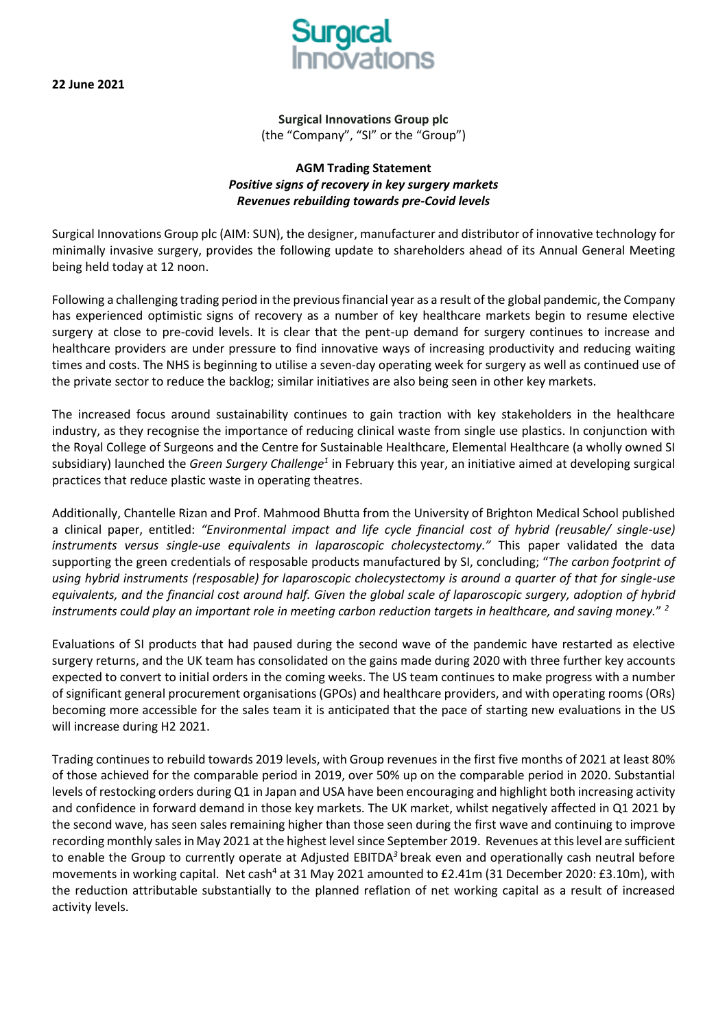**22 June 2021** 



**Surgical Innovations Group plc** (the "Company", "SI" or the "Group")

## **AGM Trading Statement** *Positive signs of recovery in key surgery markets Revenues rebuilding towards pre-Covid levels*

Surgical Innovations Group plc (AIM: SUN), the designer, manufacturer and distributor of innovative technology for minimally invasive surgery, provides the following update to shareholders ahead of its Annual General Meeting being held today at 12 noon.

Following a challenging trading period in the previous financial year as a result of the global pandemic, the Company has experienced optimistic signs of recovery as a number of key healthcare markets begin to resume elective surgery at close to pre-covid levels. It is clear that the pent-up demand for surgery continues to increase and healthcare providers are under pressure to find innovative ways of increasing productivity and reducing waiting times and costs. The NHS is beginning to utilise a seven-day operating week for surgery as well as continued use of the private sector to reduce the backlog; similar initiatives are also being seen in other key markets.

The increased focus around sustainability continues to gain traction with key stakeholders in the healthcare industry, as they recognise the importance of reducing clinical waste from single use plastics. In conjunction with the Royal College of Surgeons and the Centre for Sustainable Healthcare, Elemental Healthcare (a wholly owned SI subsidiary) launched the *Green Surgery Challenge<sup>1</sup>* in February this year, an initiative aimed at developing surgical practices that reduce plastic waste in operating theatres.

Additionally, Chantelle Rizan and Prof. Mahmood Bhutta from the University of Brighton Medical School published a clinical paper, entitled: *"Environmental impact and life cycle financial cost of hybrid (reusable/ single-use) instruments versus single-use equivalents in laparoscopic cholecystectomy."* This paper validated the data supporting the green credentials of resposable products manufactured by SI, concluding; "*The carbon footprint of using hybrid instruments (resposable) for laparoscopic cholecystectomy is around a quarter of that for single-use equivalents, and the financial cost around half. Given the global scale of laparoscopic surgery, adoption of hybrid instruments could play an important role in meeting carbon reduction targets in healthcare, and saving money.*" *2*

Evaluations of SI products that had paused during the second wave of the pandemic have restarted as elective surgery returns, and the UK team has consolidated on the gains made during 2020 with three further key accounts expected to convert to initial orders in the coming weeks. The US team continues to make progress with a number of significant general procurement organisations (GPOs) and healthcare providers, and with operating rooms (ORs) becoming more accessible for the sales team it is anticipated that the pace of starting new evaluations in the US will increase during H2 2021.

Trading continues to rebuild towards 2019 levels, with Group revenues in the first five months of 2021 at least 80% of those achieved for the comparable period in 2019, over 50% up on the comparable period in 2020. Substantial levels of restocking orders during Q1 in Japan and USA have been encouraging and highlight both increasing activity and confidence in forward demand in those key markets. The UK market, whilst negatively affected in Q1 2021 by the second wave, has seen sales remaining higher than those seen during the first wave and continuing to improve recording monthly sales in May 2021 at the highest level since September 2019. Revenues at this level are sufficient to enable the Group to currently operate at Adjusted EBITDA*<sup>3</sup>*break even and operationally cash neutral before movements in working capital. Net cash<sup>4</sup> at 31 May 2021 amounted to £2.41m (31 December 2020: £3.10m), with the reduction attributable substantially to the planned reflation of net working capital as a result of increased activity levels.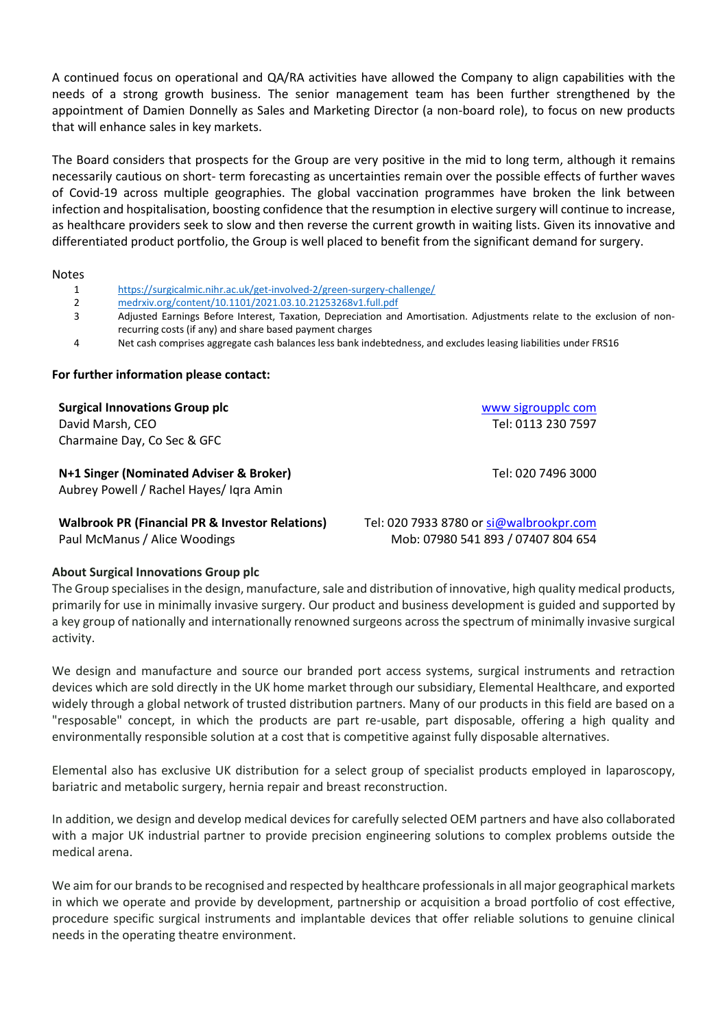A continued focus on operational and QA/RA activities have allowed the Company to align capabilities with the needs of a strong growth business. The senior management team has been further strengthened by the appointment of Damien Donnelly as Sales and Marketing Director (a non-board role), to focus on new products that will enhance sales in key markets.

The Board considers that prospects for the Group are very positive in the mid to long term, although it remains necessarily cautious on short- term forecasting as uncertainties remain over the possible effects of further waves of Covid-19 across multiple geographies. The global vaccination programmes have broken the link between infection and hospitalisation, boosting confidence that the resumption in elective surgery will continue to increase, as healthcare providers seek to slow and then reverse the current growth in waiting lists. Given its innovative and differentiated product portfolio, the Group is well placed to benefit from the significant demand for surgery.

#### Notes

- 1 <https://surgicalmic.nihr.ac.uk/get-involved-2/green-surgery-challenge/>
- 2 [medrxiv.org/content/10.1101/2021.03.10.21253268v1.full.pdf](file:///C:/Users/Rachel.newton/AppData/Local/Microsoft/Windows/INetCache/Content.Outlook/S63XSTVA/medrxiv.org/content/10.1101/2021.03.10.21253268v1.full.pdf)<br>3 Adjusted Farnings Before Interest Taxation Depreciation and
- Adjusted Earnings Before Interest, Taxation, Depreciation and Amortisation. Adjustments relate to the exclusion of nonrecurring costs (if any) and share based payment charges
- 4 Net cash comprises aggregate cash balances less bank indebtedness, and excludes leasing liabilities under FRS16

#### **For further information please contact:**

| <b>Surgical Innovations Group plc</b>                                         | www sigroupplc com |
|-------------------------------------------------------------------------------|--------------------|
| David Marsh, CEO                                                              | Tel: 0113 230 7597 |
| Charmaine Day, Co Sec & GFC                                                   |                    |
| N+1 Singer (Nominated Adviser & Broker)                                       | Tel: 020 7496 3000 |
| Aubrey Powell / Rachel Hayes/ Igra Amin                                       |                    |
| Attallangely <b>DD</b> (Elisabetel <b>DD, O</b> Jossephen <b>D</b> eletterial |                    |

**Walbrook PR (Financial PR & Investor Relations)** Tel: 020 7933 8780 or si@walbrookpr.com Paul McManus / Alice Woodings Mob: 07980 541 893 / 07407 804 654

### **About Surgical Innovations Group plc**

The Group specialises in the design, manufacture, sale and distribution of innovative, high quality medical products, primarily for use in minimally invasive surgery. Our product and business development is guided and supported by a key group of nationally and internationally renowned surgeons across the spectrum of minimally invasive surgical activity.

We design and manufacture and source our branded port access systems, surgical instruments and retraction devices which are sold directly in the UK home market through our subsidiary, Elemental Healthcare, and exported widely through a global network of trusted distribution partners. Many of our products in this field are based on a "resposable" concept, in which the products are part re-usable, part disposable, offering a high quality and environmentally responsible solution at a cost that is competitive against fully disposable alternatives.

Elemental also has exclusive UK distribution for a select group of specialist products employed in laparoscopy, bariatric and metabolic surgery, hernia repair and breast reconstruction.

In addition, we design and develop medical devices for carefully selected OEM partners and have also collaborated with a major UK industrial partner to provide precision engineering solutions to complex problems outside the medical arena.

We aim for our brands to be recognised and respected by healthcare professionals in all major geographical markets in which we operate and provide by development, partnership or acquisition a broad portfolio of cost effective, procedure specific surgical instruments and implantable devices that offer reliable solutions to genuine clinical needs in the operating theatre environment.